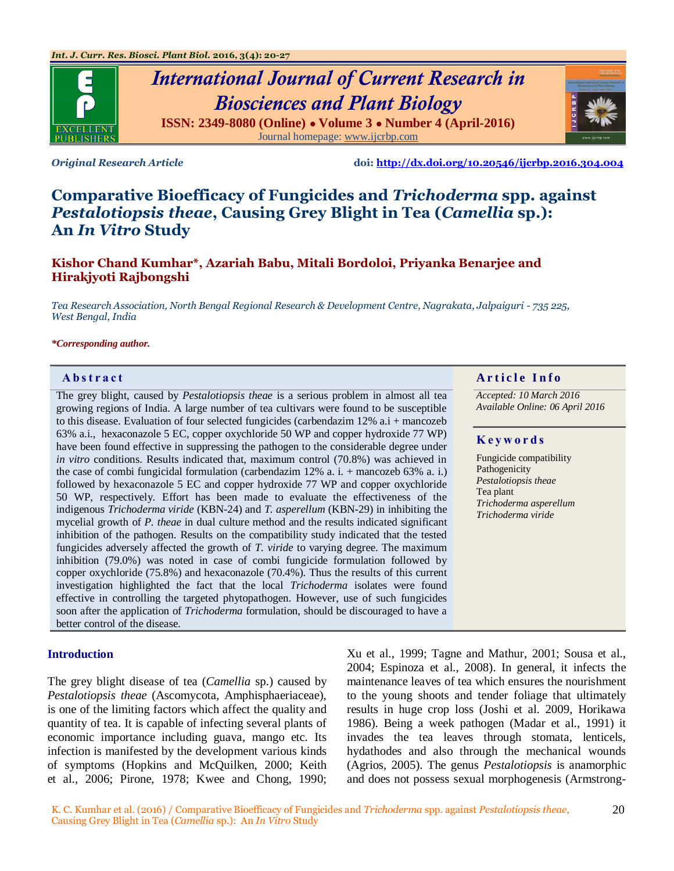

# *International Journal of Current Research in Biosciences and Plant Biology* **ISSN: 2349-8080 (Online) ● Volume 3 ● Number 4 (April-2016)** Journal homepage[: www.ijcrbp.com](http://www.ijcrbp.com/)



*Original Research Article* **doi:<http://dx.doi.org/10.20546/ijcrbp.2016.304.004>**

# **Comparative Bioefficacy of Fungicides and** *Trichoderma* **spp. against**  *Pestalotiopsis theae***, Causing Grey Blight in Tea (***Camellia* **sp.): An** *In Vitro* **Study**

# **Kishor Chand Kumhar\*, Azariah Babu, Mitali Bordoloi, Priyanka Benarjee and Hirakjyoti Rajbongshi**

*Tea Research Association, North Bengal Regional Research & Development Centre, Nagrakata, Jalpaiguri - 735 225, West Bengal, India*

#### *\*Corresponding author.*

The grey blight, caused by *Pestalotiopsis theae* is a serious problem in almost all tea growing regions of India. A large number of tea cultivars were found to be susceptible to this disease. Evaluation of four selected fungicides (carbendazim 12% a.i + mancozeb 63% a.i., hexaconazole 5 EC, copper oxychloride 50 WP and copper hydroxide 77 WP) have been found effective in suppressing the pathogen to the considerable degree under *in vitro* conditions. Results indicated that, maximum control (70.8%) was achieved in the case of combi fungicidal formulation (carbendazim 12% a. i. + mancozeb 63% a. i.) followed by hexaconazole 5 EC and copper hydroxide 77 WP and copper oxychloride 50 WP, respectively. Effort has been made to evaluate the effectiveness of the indigenous *Trichoderma viride* (KBN-24) and *T. asperellum* (KBN-29) in inhibiting the mycelial growth of *P. theae* in dual culture method and the results indicated significant inhibition of the pathogen. Results on the compatibility study indicated that the tested fungicides adversely affected the growth of *T. viride* to varying degree. The maximum inhibition (79.0%) was noted in case of combi fungicide formulation followed by copper oxychloride (75.8%) and hexaconazole (70.4%). Thus the results of this current investigation highlighted the fact that the local *Trichoderma* isolates were found effective in controlling the targeted phytopathogen. However, use of such fungicides soon after the application of *Trichoderma* formulation, should be discouraged to have a better control of the disease.

#### **Introduction**

The grey blight disease of tea (*Camellia* sp.) caused by *Pestalotiopsis theae* (Ascomycota, Amphisphaeriaceae), is one of the limiting factors which affect the quality and quantity of tea. It is capable of infecting several plants of economic importance including guava, mango etc. Its infection is manifested by the development various kinds of symptoms (Hopkins and McQuilken, 2000; Keith et al., 2006; Pirone, 1978; Kwee and Chong, 1990;

Xu et al., 1999; Tagne and Mathur, 2001; Sousa et al., 2004; Espinoza et al., 2008). In general, it infects the maintenance leaves of tea which ensures the nourishment to the young shoots and tender foliage that ultimately results in huge crop loss (Joshi et al. 2009, Horikawa 1986). Being a week pathogen (Madar et al., 1991) it invades the tea leaves through stomata, lenticels, hydathodes and also through the mechanical wounds (Agrios, 2005). The genus *Pestalotiopsis* is anamorphic and does not possess sexual morphogenesis (Armstrong-

#### **A b s t r a c t A r t i c l e I n f o**

*Accepted: 10 March 2016 Available Online: 06 April 2016*

#### **K e y w o r d s**

Fungicide compatibility Pathogenicity *Pestalotiopsis theae* Tea plant *Trichoderma asperellum Trichoderma viride*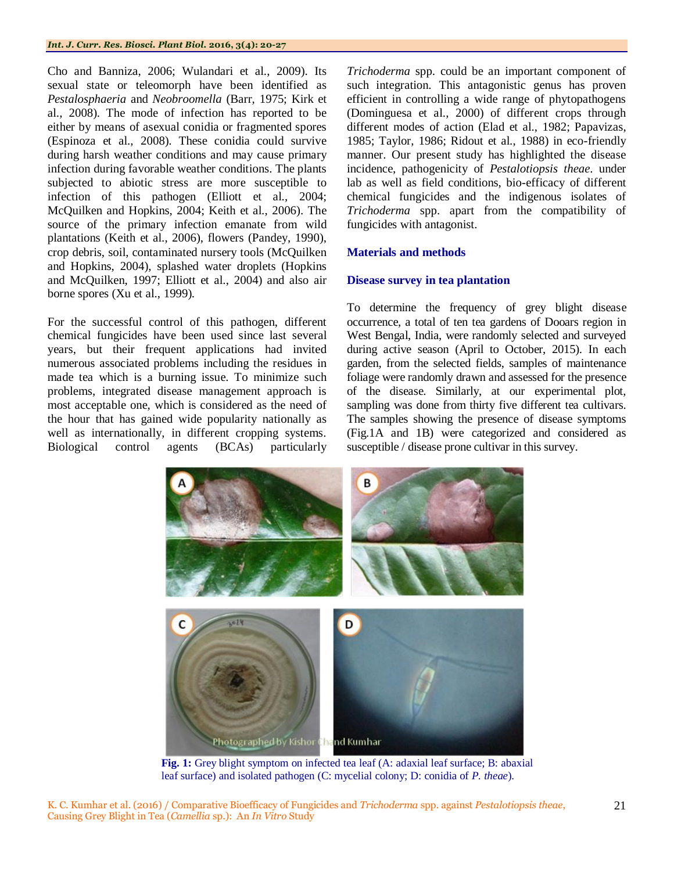Cho and Banniza, 2006; Wulandari et al., 2009). Its sexual state or teleomorph have been identified as *Pestalosphaeria* and *Neobroomella* (Barr, 1975; Kirk et al., 2008). The mode of infection has reported to be either by means of asexual conidia or fragmented spores (Espinoza et al., 2008). These conidia could survive during harsh weather conditions and may cause primary infection during favorable weather conditions. The plants subjected to abiotic stress are more susceptible to infection of this pathogen (Elliott et al., 2004; McQuilken and Hopkins, 2004; Keith et al., 2006). The source of the primary infection emanate from wild plantations (Keith et al., 2006), flowers (Pandey, 1990), crop debris, soil, contaminated nursery tools (McQuilken and Hopkins, 2004), splashed water droplets (Hopkins and McQuilken, 1997; Elliott et al., 2004) and also air borne spores (Xu et al., 1999).

For the successful control of this pathogen, different chemical fungicides have been used since last several years, but their frequent applications had invited numerous associated problems including the residues in made tea which is a burning issue. To minimize such problems, integrated disease management approach is most acceptable one, which is considered as the need of the hour that has gained wide popularity nationally as well as internationally, in different cropping systems. Biological control agents (BCAs) particularly

*Trichoderma* spp. could be an important component of such integration. This antagonistic genus has proven efficient in controlling a wide range of phytopathogens (Dominguesa et al., 2000) of different crops through different modes of action (Elad et al., 1982; Papavizas, 1985; Taylor, 1986; Ridout et al., 1988) in eco-friendly manner. Our present study has highlighted the disease incidence, pathogenicity of *Pestalotiopsis theae*. under lab as well as field conditions, bio-efficacy of different chemical fungicides and the indigenous isolates of *Trichoderma* spp. apart from the compatibility of fungicides with antagonist.

# **Materials and methods**

# **Disease survey in tea plantation**

To determine the frequency of grey blight disease occurrence, a total of ten tea gardens of Dooars region in West Bengal, India, were randomly selected and surveyed during active season (April to October, 2015). In each garden, from the selected fields, samples of maintenance foliage were randomly drawn and assessed for the presence of the disease. Similarly, at our experimental plot, sampling was done from thirty five different tea cultivars. The samples showing the presence of disease symptoms (Fig.1A and 1B) were categorized and considered as susceptible / disease prone cultivar in this survey.



**Fig. 1:** Grey blight symptom on infected tea leaf (A: adaxial leaf surface; B: abaxial leaf surface) and isolated pathogen (C: mycelial colony; D: conidia of *P. theae*).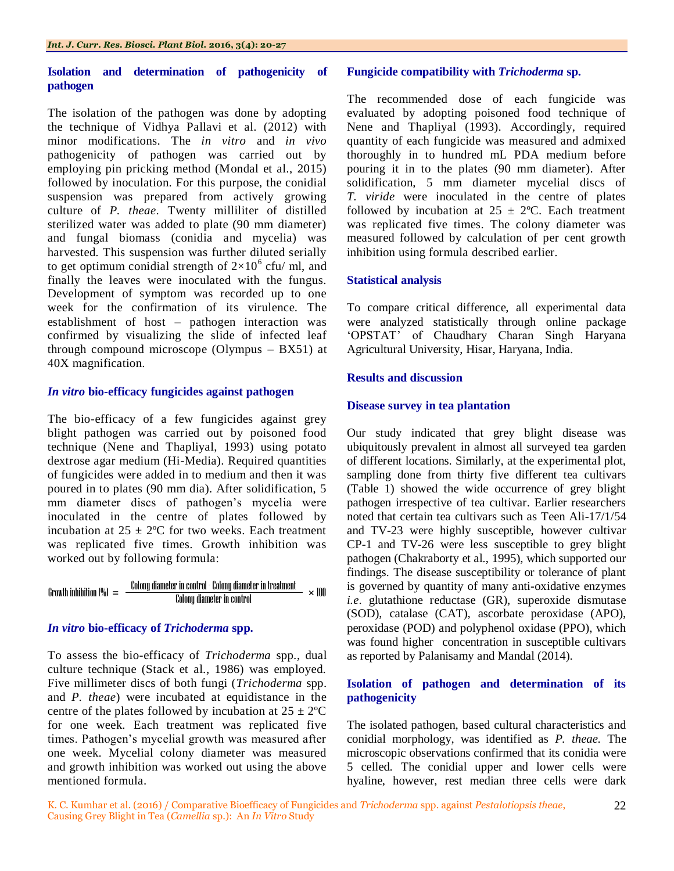## **Isolation and determination of pathogenicity of pathogen**

The isolation of the pathogen was done by adopting the technique of Vidhya Pallavi et al. (2012) with minor modifications. The *in vitro* and *in vivo* pathogenicity of pathogen was carried out by employing pin pricking method (Mondal et al., 2015) followed by inoculation. For this purpose, the conidial suspension was prepared from actively growing culture of *P. theae*. Twenty milliliter of distilled sterilized water was added to plate (90 mm diameter) and fungal biomass (conidia and mycelia) was harvested. This suspension was further diluted serially to get optimum conidial strength of  $2\times10^6$  cfu/ ml, and finally the leaves were inoculated with the fungus. Development of symptom was recorded up to one week for the confirmation of its virulence. The establishment of host – pathogen interaction was confirmed by visualizing the slide of infected leaf through compound microscope (Olympus – BX51) at 40X magnification.

## *In vitro* **bio-efficacy fungicides against pathogen**

The bio-efficacy of a few fungicides against grey blight pathogen was carried out by poisoned food technique (Nene and Thapliyal, 1993) using potato dextrose agar medium (Hi-Media). Required quantities of fungicides were added in to medium and then it was poured in to plates (90 mm dia). After solidification, 5 mm diameter discs of pathogen's mycelia were inoculated in the centre of plates followed by incubation at  $25 \pm 2$ °C for two weeks. Each treatment was replicated five times. Growth inhibition was worked out by following formula:

$$
Growth inhibition (96) = \frac{Colony diameter in control - Colony diameter in treatment}{Colony diameter in control} \times 100
$$

# *In vitro* **bio-efficacy of** *Trichoderma* **spp.**

To assess the bio-efficacy of *Trichoderma* spp., dual culture technique (Stack et al., 1986) was employed. Five millimeter discs of both fungi (*Trichoderma* spp. and *P. theae*) were incubated at equidistance in the centre of the plates followed by incubation at  $25 \pm 2^{\circ}C$ for one week. Each treatment was replicated five times. Pathogen's mycelial growth was measured after one week. Mycelial colony diameter was measured and growth inhibition was worked out using the above mentioned formula.

## **Fungicide compatibility with** *Trichoderma* **sp.**

The recommended dose of each fungicide was evaluated by adopting poisoned food technique of Nene and Thapliyal (1993). Accordingly, required quantity of each fungicide was measured and admixed thoroughly in to hundred mL PDA medium before pouring it in to the plates (90 mm diameter). After solidification, 5 mm diameter mycelial discs of *T. viride* were inoculated in the centre of plates followed by incubation at  $25 \pm 2$ °C. Each treatment was replicated five times. The colony diameter was measured followed by calculation of per cent growth inhibition using formula described earlier.

## **Statistical analysis**

To compare critical difference, all experimental data were analyzed statistically through online package "OPSTAT" of Chaudhary Charan Singh Haryana Agricultural University, Hisar, Haryana, India.

## **Results and discussion**

## **Disease survey in tea plantation**

Our study indicated that grey blight disease was ubiquitously prevalent in almost all surveyed tea garden of different locations. Similarly, at the experimental plot, sampling done from thirty five different tea cultivars (Table 1) showed the wide occurrence of grey blight pathogen irrespective of tea cultivar. Earlier researchers noted that certain tea cultivars such as Teen Ali-17/1/54 and TV-23 were highly susceptible, however cultivar CP-1 and TV-26 were less susceptible to grey blight pathogen (Chakraborty et al., 1995), which supported our findings. The disease susceptibility or tolerance of plant is governed by quantity of many anti-oxidative enzymes *i.e*. glutathione reductase (GR), superoxide dismutase (SOD), catalase (CAT), ascorbate peroxidase (APO), peroxidase (POD) and polyphenol oxidase (PPO), which was found higher concentration in susceptible cultivars as reported by Palanisamy and Mandal (2014).

# **Isolation of pathogen and determination of its pathogenicity**

The isolated pathogen, based cultural characteristics and conidial morphology, was identified as *P. theae.* The microscopic observations confirmed that its conidia were 5 celled. The conidial upper and lower cells were hyaline, however, rest median three cells were dark

22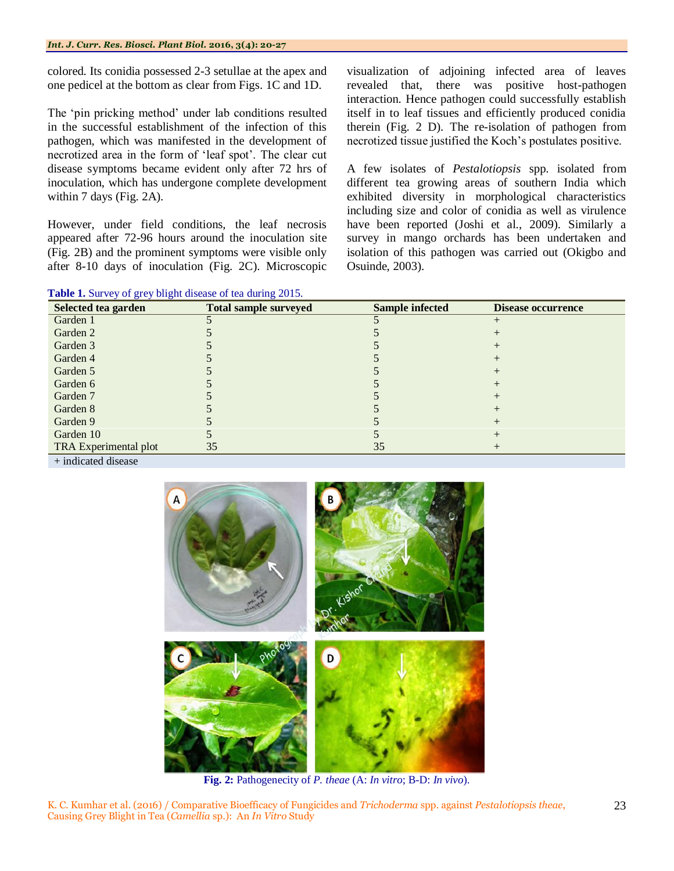colored. Its conidia possessed 2-3 setullae at the apex and one pedicel at the bottom as clear from Figs. 1C and 1D.

The "pin pricking method" under lab conditions resulted in the successful establishment of the infection of this pathogen, which was manifested in the development of necrotized area in the form of "leaf spot". The clear cut disease symptoms became evident only after 72 hrs of inoculation, which has undergone complete development within 7 days (Fig. 2A).

However, under field conditions, the leaf necrosis appeared after 72-96 hours around the inoculation site (Fig. 2B) and the prominent symptoms were visible only after 8-10 days of inoculation (Fig. 2C). Microscopic

**Table 1.** Survey of grey blight disease of tea during 2015.

visualization of adjoining infected area of leaves revealed that, there was positive host-pathogen interaction. Hence pathogen could successfully establish itself in to leaf tissues and efficiently produced conidia therein (Fig. 2 D). The re-isolation of pathogen from necrotized tissue justified the Koch"s postulates positive.

A few isolates of *Pestalotiopsis* spp. isolated from different tea growing areas of southern India which exhibited diversity in morphological characteristics including size and color of conidia as well as virulence have been reported (Joshi et al., 2009). Similarly a survey in mango orchards has been undertaken and isolation of this pathogen was carried out (Okigbo and Osuinde, 2003).

| Selected tea garden   | <b>Total sample surveyed</b> | <b>Sample infected</b> | <b>Disease occurrence</b> |
|-----------------------|------------------------------|------------------------|---------------------------|
| Garden 1              |                              |                        |                           |
| Garden 2              |                              |                        |                           |
| Garden 3              |                              |                        |                           |
| Garden 4              |                              |                        |                           |
| Garden 5              |                              |                        |                           |
| Garden 6              |                              |                        |                           |
| Garden 7              |                              |                        |                           |
| Garden 8              |                              |                        |                           |
| Garden 9              |                              |                        |                           |
| Garden 10             |                              |                        |                           |
| TRA Experimental plot | 35                           | 35                     |                           |
| .                     |                              |                        |                           |

+ indicated disease



**Fig. 2:** Pathogenecity of *P. theae* (A: *In vitro*; B-D: *In vivo*).

K. C. Kumhar et al. (2016) / Comparative Bioefficacy of Fungicides and *Trichoderma* spp. against *Pestalotiopsis theae*, Causing Grey Blight in Tea (*Camellia* sp.): An *In Vitro* Study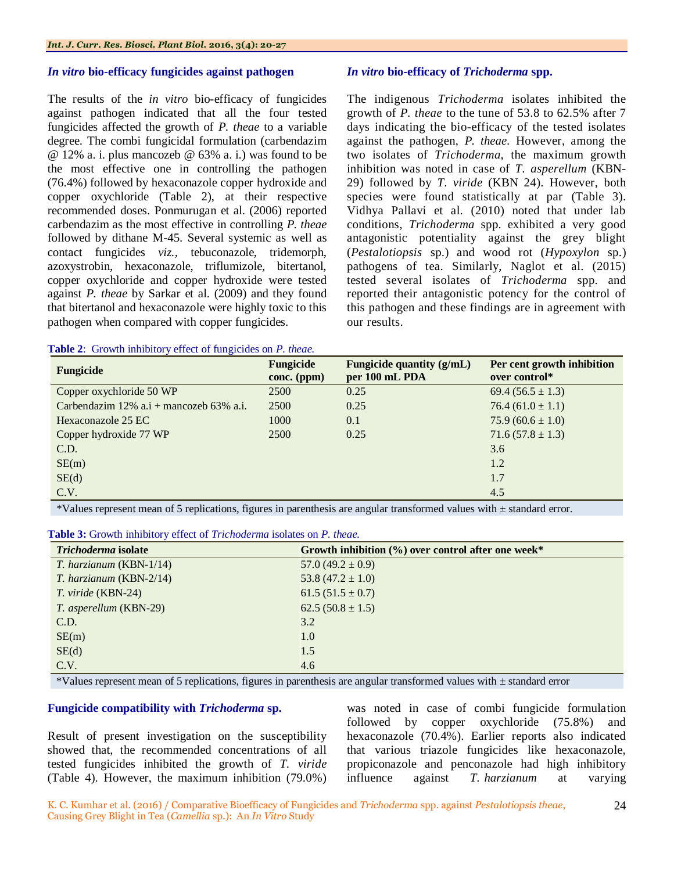#### *In vitro* **bio-efficacy fungicides against pathogen**

The results of the *in vitro* bio-efficacy of fungicides against pathogen indicated that all the four tested fungicides affected the growth of *P. theae* to a variable degree. The combi fungicidal formulation (carbendazim @ 12% a. i. plus mancozeb @ 63% a. i.) was found to be the most effective one in controlling the pathogen (76.4%) followed by hexaconazole copper hydroxide and copper oxychloride (Table 2), at their respective recommended doses. Ponmurugan et al. (2006) reported carbendazim as the most effective in controlling *P. theae* followed by dithane M-45. Several systemic as well as contact fungicides *viz.,* tebuconazole, tridemorph, azoxystrobin, hexaconazole, triflumizole, bitertanol, copper oxychloride and copper hydroxide were tested against *P. theae* by Sarkar et al. (2009) and they found that bitertanol and hexaconazole were highly toxic to this pathogen when compared with copper fungicides.

#### **Table 2**: Growth inhibitory effect of fungicides on *P. theae.*

#### *In vitro* **bio-efficacy of** *Trichoderma* **spp.**

The indigenous *Trichoderma* isolates inhibited the growth of *P. theae* to the tune of 53.8 to 62.5% after 7 days indicating the bio-efficacy of the tested isolates against the pathogen, *P. theae*. However, among the two isolates of *Trichoderma*, the maximum growth inhibition was noted in case of *T. asperellum* (KBN-29) followed by *T. viride* (KBN 24). However, both species were found statistically at par (Table 3). Vidhya Pallavi et al. (2010) noted that under lab conditions, *Trichoderma* spp. exhibited a very good antagonistic potentiality against the grey blight (*Pestalotiopsis* sp.) and wood rot (*Hypoxylon* sp.) pathogens of tea. Similarly, Naglot et al. (2015) tested several isolates of *Trichoderma* spp. and reported their antagonistic potency for the control of this pathogen and these findings are in agreement with our results.

| <b>Fungicide</b>                             | Fungicide<br>conc. (ppm) | Fungicide quantity (g/mL)<br>per 100 mL PDA | Per cent growth inhibition<br>over control* |
|----------------------------------------------|--------------------------|---------------------------------------------|---------------------------------------------|
| Copper oxychloride 50 WP                     | 2500                     | 0.25                                        | 69.4 $(56.5 \pm 1.3)$                       |
| Carbendazim 12% $a.i +$ mancozeb 63% $a.i$ . | 2500                     | 0.25                                        | $76.4(61.0 \pm 1.1)$                        |
| Hexaconazole 25 EC                           | 1000                     | 0.1                                         | $75.9(60.6 \pm 1.0)$                        |
| Copper hydroxide 77 WP                       | 2500                     | 0.25                                        | $71.6(57.8 \pm 1.3)$                        |
| C.D.                                         |                          |                                             | 3.6                                         |
| SE(m)                                        |                          |                                             | 1.2                                         |
| SE(d)                                        |                          |                                             | 1.7                                         |
| C.V.                                         |                          |                                             | 4.5                                         |

\*Values represent mean of 5 replications, figures in parenthesis are angular transformed values with ± standard error.

|--|

| Trichoderma isolate     | Growth inhibition $(\%)$ over control after one week* |
|-------------------------|-------------------------------------------------------|
| T. harzianum (KBN-1/14) | $57.0(49.2 \pm 0.9)$                                  |
| T. harzianum (KBN-2/14) | 53.8 $(47.2 \pm 1.0)$                                 |
| T. viride (KBN-24)      | 61.5 $(51.5 \pm 0.7)$                                 |
| T. asperellum (KBN-29)  | $62.5(50.8 \pm 1.5)$                                  |
| C.D.                    | 3.2                                                   |
| SE(m)                   | 1.0                                                   |
| SE(d)                   | 1.5                                                   |
| C.V.                    | 4.6                                                   |

\*Values represent mean of 5 replications, figures in parenthesis are angular transformed values with ± standard error

#### **Fungicide compatibility with** *Trichoderma* **sp.**

Result of present investigation on the susceptibility showed that, the recommended concentrations of all tested fungicides inhibited the growth of *T. viride* (Table 4). However, the maximum inhibition (79.0%) was noted in case of combi fungicide formulation followed by copper oxychloride (75.8%) and hexaconazole (70.4%). Earlier reports also indicated that various triazole fungicides like hexaconazole, propiconazole and penconazole had high inhibitory influence against *T. harzianum* at varying

24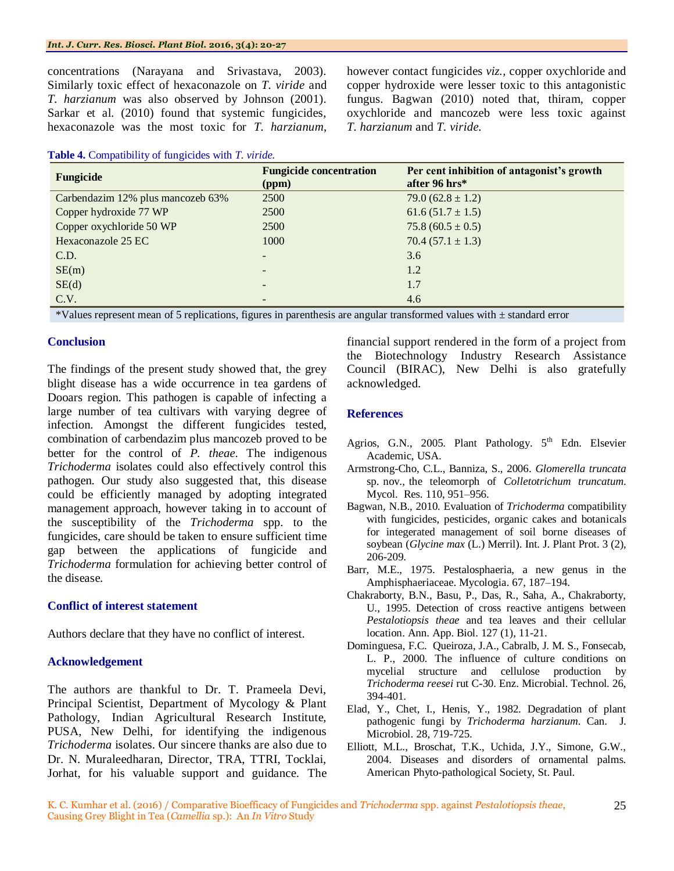concentrations (Narayana and Srivastava, 2003). Similarly toxic effect of hexaconazole on *T. viride* and *T. harzianum* was also observed by Johnson (2001). Sarkar et al. (2010) found that systemic fungicides, hexaconazole was the most toxic for *T. harzianum*,

**Table 4.** Compatibility of fungicides with *T. viride.*

however contact fungicides *viz.,* copper oxychloride and copper hydroxide were lesser toxic to this antagonistic fungus. Bagwan (2010) noted that, thiram, copper oxychloride and mancozeb were less toxic against *T. harzianum* and *T. viride.*

| Fungicide                         | <b>Fungicide concentration</b><br>(ppm) | Per cent inhibition of antagonist's growth<br>after 96 hrs* |
|-----------------------------------|-----------------------------------------|-------------------------------------------------------------|
| Carbendazim 12% plus mancozeb 63% | 2500                                    | 79.0 $(62.8 \pm 1.2)$                                       |
| Copper hydroxide 77 WP            | 2500                                    | $61.6(51.7 \pm 1.5)$                                        |
| Copper oxychloride 50 WP          | 2500                                    | $75.8(60.5 \pm 0.5)$                                        |
| Hexaconazole 25 EC                | 1000                                    | $70.4(57.1 \pm 1.3)$                                        |
| C.D.                              | $\overline{\phantom{0}}$                | 3.6                                                         |
| SE(m)                             | $\overline{\phantom{0}}$                | 1.2                                                         |
| SE(d)                             | -                                       | 1.7                                                         |
| C.V.                              |                                         | 4.6                                                         |

\*Values represent mean of 5 replications, figures in parenthesis are angular transformed values with ± standard error

#### **Conclusion**

The findings of the present study showed that, the grey blight disease has a wide occurrence in tea gardens of Dooars region. This pathogen is capable of infecting a large number of tea cultivars with varying degree of infection. Amongst the different fungicides tested, combination of carbendazim plus mancozeb proved to be better for the control of *P. theae*. The indigenous *Trichoderma* isolates could also effectively control this pathogen. Our study also suggested that, this disease could be efficiently managed by adopting integrated management approach, however taking in to account of the susceptibility of the *Trichoderma* spp. to the fungicides, care should be taken to ensure sufficient time gap between the applications of fungicide and *Trichoderma* formulation for achieving better control of the disease.

#### **Conflict of interest statement**

Authors declare that they have no conflict of interest.

# **Acknowledgement**

The authors are thankful to Dr. T. Prameela Devi, Principal Scientist, Department of Mycology & Plant Pathology, Indian Agricultural Research Institute, PUSA, New Delhi, for identifying the indigenous *Trichoderma* isolates. Our sincere thanks are also due to Dr. N. Muraleedharan, Director, TRA, TTRI, Tocklai, Jorhat, for his valuable support and guidance. The financial support rendered in the form of a project from the Biotechnology Industry Research Assistance Council (BIRAC), New Delhi is also gratefully acknowledged.

# **References**

- Agrios, G.N., 2005. Plant Pathology. 5<sup>th</sup> Edn. Elsevier Academic, USA.
- Armstrong-Cho, C.L., Banniza, S., 2006. *Glomerella truncata* sp. nov., the teleomorph of *Colletotrichum truncatum*. Mycol. Res. 110, 951–956.
- Bagwan, N.B., 2010. Evaluation of *Trichoderma* compatibility with fungicides, pesticides, organic cakes and botanicals for integerated management of soil borne diseases of soybean (*Glycine max* (L.) Merril). Int. J. Plant Prot. 3 (2), 206-209.
- Barr, M.E., 1975. Pestalosphaeria, a new genus in the Amphisphaeriaceae. Mycologia. 67, 187–194.
- Chakraborty, B.N., Basu, P., Das, R., Saha, A., Chakraborty, U., 1995. Detection of cross reactive antigens between *Pestalotiopsis theae* and tea leaves and their cellular location. Ann. App. Biol. 127 (1), 11-21.
- Dominguesa, F.C. Queiroza, J.A., Cabralb, J. M. S., Fonsecab, L. P., 2000. The influence of culture conditions on mycelial structure and cellulose production by *Trichoderma reesei* rut C-30. Enz. Microbial. Technol. 26, 394-401.
- Elad, Y., Chet, I., Henis, Y., 1982. Degradation of plant pathogenic fungi by *Trichoderma harzianum*. Can. J. Microbiol. 28, 719-725.
- Elliott, M.L., Broschat, T.K., Uchida, J.Y., Simone, G.W., 2004. Diseases and disorders of ornamental palms. American Phyto-pathological Society, St. Paul.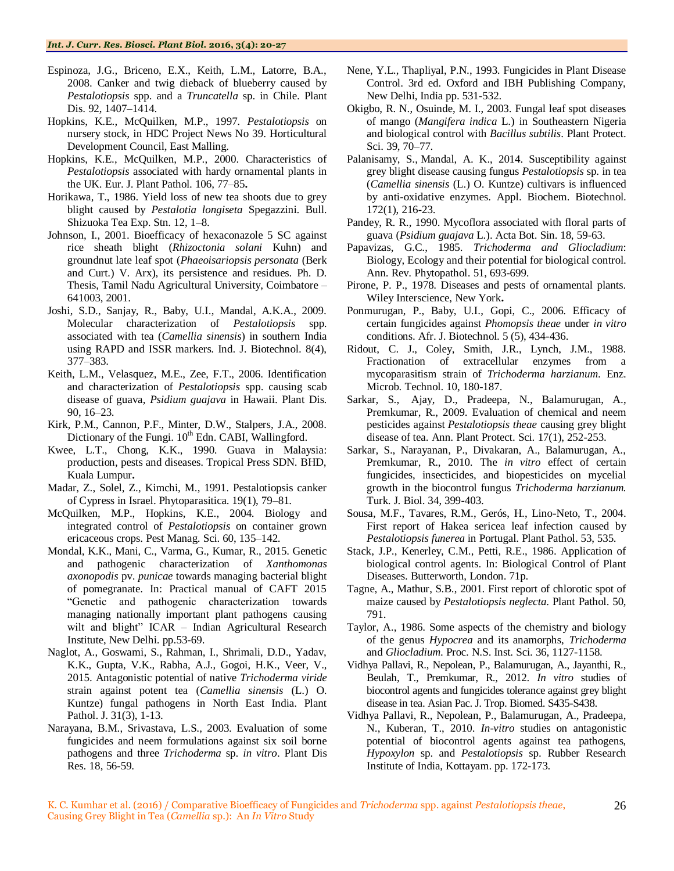- Espinoza, J.G., Briceno, E.X., Keith, L.M., Latorre, B.A., 2008. Canker and twig dieback of blueberry caused by *Pestalotiopsis* spp. and a *Truncatella* sp. in Chile. Plant Dis. 92, 1407–1414.
- Hopkins, K.E., McQuilken, M.P., 1997. *Pestalotiopsis* on nursery stock, in HDC Project News No 39. Horticultural Development Council, East Malling.
- Hopkins, K.E., McQuilken, M.P., 2000. Characteristics of *Pestalotiopsis* associated with hardy ornamental plants in the UK. Eur. J. Plant Pathol. 106, 77–85**.**
- Horikawa, T., 1986. Yield loss of new tea shoots due to grey blight caused by *Pestalotia longiseta* Spegazzini. Bull. Shizuoka Tea Exp. Stn. 12, 1–8.
- Johnson, I., 2001. Bioefficacy of hexaconazole 5 SC against rice sheath blight (*Rhizoctonia solani* Kuhn) and groundnut late leaf spot (*Phaeoisariopsis personata* (Berk and Curt.) V. Arx), its persistence and residues. Ph. D. Thesis, Tamil Nadu Agricultural University, Coimbatore – 641003, 2001.
- Joshi, S.D., Sanjay, R., Baby, U.I., Mandal, A.K.A., 2009. Molecular characterization of *Pestalotiopsis* spp. associated with tea (*Camellia sinensis*) in southern India using RAPD and ISSR markers. Ind. J. Biotechnol. 8(4), 377–383.
- Keith, L.M., Velasquez, M.E., Zee, F.T., 2006. Identification and characterization of *Pestalotiopsis* spp. causing scab disease of guava, *Psidium guajava* in Hawaii. Plant Dis. 90, 16–23.
- Kirk, P.M., Cannon, P.F., Minter, D.W., Stalpers, J.A., 2008. Dictionary of the Fungi.  $10<sup>th</sup>$  Edn. CABI, Wallingford.
- Kwee, L.T., Chong, K.K., 1990. Guava in Malaysia: production, pests and diseases. Tropical Press SDN. BHD, Kuala Lumpur**.**
- Madar, Z., Solel, Z., Kimchi, M., 1991. Pestalotiopsis canker of Cypress in Israel. Phytoparasitica. 19(1), 79–81.
- McQuilken, M.P., Hopkins, K.E., 2004. Biology and integrated control of *Pestalotiopsis* on container grown ericaceous crops. Pest Manag. Sci. 60, 135–142.
- Mondal, K.K., Mani, C., Varma, G., Kumar, R., 2015. Genetic and pathogenic characterization of *Xanthomonas axonopodis* pv. *punicae* towards managing bacterial blight of pomegranate. In: Practical manual of CAFT 2015 "Genetic and pathogenic characterization towards managing nationally important plant pathogens causing wilt and blight" ICAR - Indian Agricultural Research Institute, New Delhi. pp.53-69.
- Naglot, A., Goswami, S., Rahman, I., Shrimali, D.D., Yadav, K.K., Gupta, V.K., Rabha, A.J., Gogoi, H.K., Veer, V., 2015. Antagonistic potential of native *Trichoderma viride* strain against potent tea (*Camellia sinensis* (L.) O. Kuntze) fungal pathogens in North East India. Plant Pathol. J. 31(3), 1-13.
- Narayana, B.M., Srivastava, L.S., 2003. Evaluation of some fungicides and neem formulations against six soil borne pathogens and three *Trichoderma* sp. *in vitro*. Plant Dis Res. 18, 56-59.
- Nene, Y.L., Thapliyal, P.N., 1993. Fungicides in Plant Disease Control. 3rd ed. Oxford and IBH Publishing Company, New Delhi, India pp. 531-532.
- Okigbo, R. N., Osuinde, M. I., 2003. Fungal leaf spot diseases of mango (*Mangifera indica* L.) in Southeastern Nigeria and biological control with *Bacillus subtilis*. Plant Protect. Sci. 39, 70–77.
- [Palanisamy, S.](http://www.ncbi.nlm.nih.gov/pubmed/?term=Palanisamy%20S%5BAuthor%5D&cauthor=true&cauthor_uid=24068475), [Mandal, A. K.](http://www.ncbi.nlm.nih.gov/pubmed/?term=Mandal%20AK%5BAuthor%5D&cauthor=true&cauthor_uid=24068475), 2014. Susceptibility against grey blight disease causing fungus *Pestalotiopsis* sp. in tea (*Camellia sinensis* (L.) O. Kuntze) cultivars is influenced by anti-oxidative enzymes. Appl. Biochem. [Biotechnol.](http://www.ncbi.nlm.nih.gov/pubmed/24068475) 172(1), 216-23.
- Pandey, R. R., 1990. Mycoflora associated with floral parts of guava (*Psidium guajava* L.). Acta Bot. Sin. 18, 59-63.
- Papavizas, G.C., 1985. *Trichoderma and Gliocladium*: Biology, Ecology and their potential for biological control. Ann. Rev. Phytopathol. 51, 693-699.
- Pirone, P. P., 1978. Diseases and pests of ornamental plants. Wiley Interscience, New York**.**
- Ponmurugan, P., Baby, U.I., Gopi, C., 2006. Efficacy of certain fungicides against *Phomopsis theae* under *in vitro*  conditions. Afr. J. Biotechnol. 5 (5), 434-436.
- Ridout, C. J., Coley, Smith, J.R., Lynch, J.M., 1988. Fractionation of extracellular enzymes from a mycoparasitism strain of *Trichoderma harzianum*. Enz. Microb. Technol. 10, 180-187.
- Sarkar, [S.,](http://www.cabdirect.org/search.html?q=au%3A%22Soumik+Sarkar%22) [Ajay, D.](http://www.cabdirect.org/search.html?q=au%3A%22Ajay%2C+D.%22), [Pradeepa, N.,](http://www.cabdirect.org/search.html?q=au%3A%22Pradeepa%2C+N.%22) [Balamurugan, A.,](http://www.cabdirect.org/search.html?q=au%3A%22Balamurugan%2C+A.%22) [Premkumar, R.,](http://www.cabdirect.org/search.html?q=au%3A%22Premkumar%2C+R.%22) 2009. Evaluation of chemical and neem pesticides against *Pestalotiopsis theae* causing grey blight disease of tea. [Ann. Plant Protect. Sci.](http://www.cabdirect.org/search.html?q=do%3A%22Annals+of+Plant+Protection+Sciences%22) 17(1), 252-253.
- Sarkar, S., Narayanan, P., Divakaran, A., Balamurugan, A., Premkumar, R., 2010. The *in vitro* effect of certain fungicides, insecticides, and biopesticides on mycelial growth in the biocontrol fungus *Trichoderma harzianum.* Turk. J. Biol. 34, 399-403.
- Sousa, M.F., Tavares, R.M., Gerós, H., Lino-Neto, T., 2004. First report of Hakea sericea leaf infection caused by *Pestalotiopsis funerea* in Portugal. Plant Pathol. 53, 535.
- Stack, J.P., Kenerley, C.M., Petti, R.E., 1986. Application of biological control agents. In: Biological Control of Plant Diseases. Butterworth, London. 71p.
- Tagne, A., Mathur, S.B., 2001. First report of chlorotic spot of maize caused by *Pestalotiopsis neglecta*. Plant Pathol. 50, 791.
- Taylor, A., 1986. Some aspects of the chemistry and biology of the genus *Hypocrea* and its anamorphs, *Trichoderma*  and *Gliocladium*. Proc. N.S. Inst. Sci. 36, 1127-1158.
- Vidhya Pallavi, R., Nepolean, P., Balamurugan, A., Jayanthi, R., Beulah, T., Premkumar, R., 2012. *In vitro* studies of biocontrol agents and fungicides tolerance against grey blight disease in tea. Asian Pac. J. Trop. Biomed. S435-S438.
- Vidhya Pallavi, R., Nepolean, P., Balamurugan, A., Pradeepa, N., Kuberan, T., 2010. *In-vitro* studies on antagonistic potential of biocontrol agents against tea pathogens, *Hypoxylon* sp. and *Pestalotiopsis* sp. Rubber Research Institute of India, Kottayam. pp. 172-173.